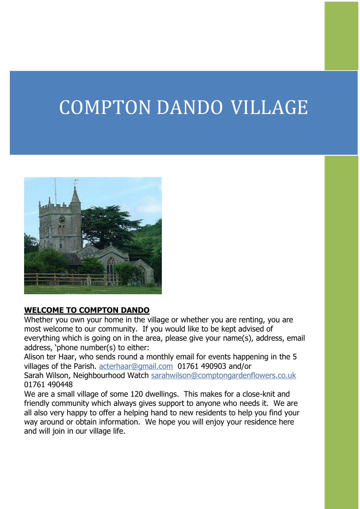# COMPTON DANDO VILLAGE



#### **WELCOME TO COMPTON DANDO**

Whether you own your home in the village or whether you are renting, you are most welcome to our community. If you would like to be kept advised of everything which is going on in the area, please give your name(s), address, email address, 'phone number(s) to either:

Alison ter Haar, who sends round a monthly email for events happening in the 5 villages of the Parish. [acterhaar@gmail.com](mailto:acterhaar@gmail.com) 01761 490903 and/or Sarah Wilson, Neighbourhood Watch [sarahwilson@comptongardenflowers.co.uk](mailto:sarahwilson@comptongardenflowers.co.uk) 01761 490448

We are a small village of some 120 dwellings. This makes for a close-knit and friendly community which always gives support to anyone who needs it. We are all also very happy to offer a helping hand to new residents to help you find your way around or obtain information. We hope you will enjoy your residence here and will join in our village life.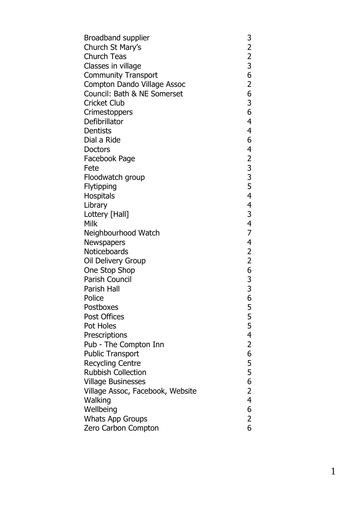| Broadband supplier               |                                                 |
|----------------------------------|-------------------------------------------------|
| Church St Mary's                 |                                                 |
| Church Teas                      |                                                 |
| Classes in village               | 32236                                           |
| Community Transport              |                                                 |
| Compton Dando Village Assoc      | $\overline{c}$                                  |
| Council: Bath & NE Somerset      | 6                                               |
| Cricket Club                     | 3                                               |
| Crimestoppers                    | 6                                               |
| Defibrillator                    | 4                                               |
| Dentists                         | 4                                               |
| Dial a Ride                      | 6                                               |
| Doctors                          | 4                                               |
| Facebook Page                    |                                                 |
| Fete                             |                                                 |
| Floodwatch group                 | $2$ 3 3 5 4                                     |
| Flytipping                       |                                                 |
| Hospitals                        |                                                 |
| Library                          | $\overline{\mathbf{4}}$                         |
| Lottery [Hall]                   | 3                                               |
| Milk                             | 4                                               |
| Neighbourhood Watch              | $\overline{7}$                                  |
| Newspapers                       | 4                                               |
| Noticeboards                     |                                                 |
| Oil Delivery Group               |                                                 |
| One Stop Shop                    | $\begin{array}{c} 2 \\ 2 \\ 6 \\ 3 \end{array}$ |
| Parish Council                   |                                                 |
| Parish Hall                      | 3<br>6                                          |
| Police                           |                                                 |
| Postboxes                        | 5<br>5<br>5<br>4                                |
| Post Offices                     |                                                 |
| Pot Holes                        |                                                 |
| Prescriptions                    |                                                 |
| Pub - The Compton Inn            | $\overline{2}$                                  |
| <b>Public Transport</b>          | 6                                               |
| <b>Recycling Centre</b>          | 5                                               |
| <b>Rubbish Collection</b>        | $\overline{\mathbf{5}}$                         |
| <b>Village Businesses</b>        | 6                                               |
| Village Assoc, Facebook, Website | $\overline{c}$                                  |
| Walking                          | $\overline{4}$                                  |
| Wellbeing                        | 6                                               |
| <b>Whats App Groups</b>          | $\overline{2}$                                  |
| Zero Carbon Compton              | 6                                               |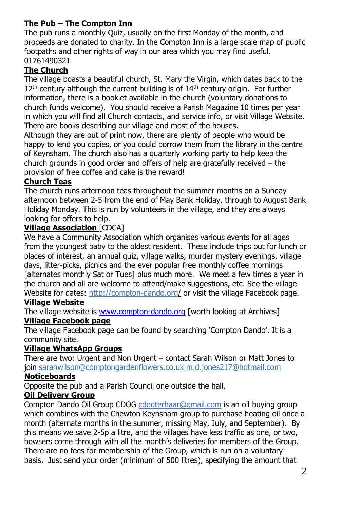# **The Pub – The Compton Inn**

The pub runs a monthly Quiz, usually on the first Monday of the month, and proceeds are donated to charity. In the Compton Inn is a large scale map of public footpaths and other rights of way in our area which you may find useful. 01761490321

# **The Church**

The village boasts a beautiful church, St. Mary the Virgin, which dates back to the  $12<sup>th</sup>$  century although the current building is of  $14<sup>th</sup>$  century origin. For further information, there is a booklet available in the church (voluntary donations to church funds welcome). You should receive a Parish Magazine 10 times per year in which you will find all Church contacts, and service info, or visit Village Website. There are books describing our village and most of the houses.

Although they are out of print now, there are plenty of people who would be happy to lend you copies, or you could borrow them from the library in the centre of Keynsham. The church also has a quarterly working party to help keep the church grounds in good order and offers of help are gratefully received – the provision of free coffee and cake is the reward!

# **Church Teas**

The church runs afternoon teas throughout the summer months on a Sunday afternoon between 2-5 from the end of May Bank Holiday, through to August Bank Holiday Monday. This is run by volunteers in the village, and they are always looking for offers to help.

## **Village Association** [CDCA]

We have a Community Association which organises various events for all ages from the youngest baby to the oldest resident. These include trips out for lunch or places of interest, an annual quiz, village walks, murder mystery evenings, village days, litter-picks, picnics and the ever popular free monthly coffee mornings [alternates monthly Sat or Tues] plus much more. We meet a few times a year in the church and all are welcome to attend/make suggestions, etc. See the village Website for dates:<http://compton-dando.org/> or visit the village Facebook page.

## **Village Website**

The village website is [www.compton-dando.org](http://www.compton-dando.org/) [worth looking at Archives] **Village Facebook page**

The village Facebook page can be found by searching 'Compton Dando'. It is a community site.

## **Village WhatsApp Groups**

There are two: Urgent and Non Urgent – contact Sarah Wilson or Matt Jones to join [sarahwilson@comptongardenflowers.co.uk](mailto:sarahwilson@comptongardenflowers.co.uk) m.d.jones217@hotmail.com

## **Noticeboards**

Opposite the pub and a Parish Council one outside the hall.

# **Oil Delivery Group**

Compton Dando Oil Group CDOG [cdogterhaar@gmail.com](mailto:cdogterhaar@gmail.com) is an oil buying group which combines with the Chewton Keynsham group to purchase heating oil once a month (alternate months in the summer, missing May, July, and September). By this means we save 2-5p a litre, and the villages have less traffic as one, or two, bowsers come through with all the month's deliveries for members of the Group. There are no fees for membership of the Group, which is run on a voluntary basis. Just send your order (minimum of 500 litres), specifying the amount that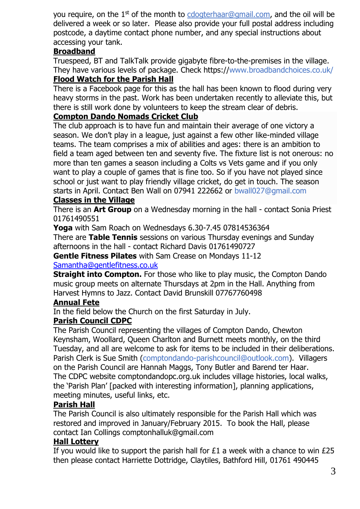you require, on the 1<sup>st</sup> of the month to [cdogterhaar@gmail.com,](mailto:cdogterhaar@gmail.com) and the oil will be delivered a week or so later. Please also provide your full postal address including postcode, a daytime contact phone number, and any special instructions about accessing your tank.

#### **Broadband**

Truespeed, BT and TalkTalk provide gigabyte fibre-to-the-premises in the village. They have various levels of package. Check https://www.broadbandchoices.co.uk/

#### **Flood Watch for the Parish Hall**

There is a Facebook page for this as the hall has been known to flood during very heavy storms in the past. Work has been undertaken recently to alleviate this, but there is still work done by volunteers to keep the stream clear of debris.

#### **Compton Dando Nomads Cricket Club**

The club approach is to have fun and maintain their average of one victory a season. We don't play in a league, just against a few other like-minded village teams. The team comprises a mix of abilities and ages: there is an ambition to field a team aged between ten and seventy five. The fixture list is not onerous: no more than ten games a season including a Colts vs Vets game and if you only want to play a couple of games that is fine too. So if you have not played since school or just want to play friendly village cricket, do get in touch. The season starts in April. Contact Ben Wall on 07941 222662 or bwall027@gmail.com

#### **Classes in the Village**

There is an **Art Group** on a Wednesday morning in the hall - contact Sonia Priest 01761490551

**Yoga** with Sam Roach on Wednesdays 6.30-7.45 07814536364 There are **Table Tennis** sessions on various Thursday evenings and Sunday afternoons in the hall - contact Richard Davis 01761490727 **Gentle Fitness Pilates** with Sam Crease on Mondays 11-12

#### [Samantha@gentlefitness.co.uk](mailto:Samantha@gentlefitness.co.uk)

**Straight into Compton.** For those who like to play music, the Compton Dando music group meets on alternate Thursdays at 2pm in the Hall. Anything from Harvest Hymns to Jazz. Contact David Brunskill 07767760498

#### **Annual Fete**

In the field below the Church on the first Saturday in July.

## **Parish Council CDPC**

The Parish Council representing the villages of Compton Dando, Chewton Keynsham, Woollard, Queen Charlton and Burnett meets monthly, on the third Tuesday, and all are welcome to ask for items to be included in their deliberations. Parish Clerk is Sue Smith (comptondando-parishcouncil@outlook.com). Villagers on the Parish Council are Hannah Maggs, Tony Butler and Barend ter Haar. The CDPC website comptondandopc.org.uk includes village histories, local walks, the 'Parish Plan' [packed with interesting information], planning applications, meeting minutes, useful links, etc.

#### **Parish Hall**

The Parish Council is also ultimately responsible for the Parish Hall which was restored and improved in January/February 2015. To book the Hall, please contact Ian Collings comptonhalluk@gmail.com

#### **Hall Lottery**

If you would like to support the parish hall for  $£1$  a week with a chance to win  $£25$ then please contact Harriette Dottridge, Claytiles, Bathford Hill, 01761 490445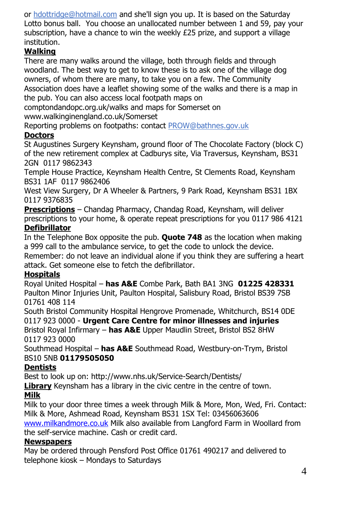or [hdottridge@hotmail.com](mailto:hdottridge@hotmail.com) and she'll sign you up. It is based on the Saturday Lotto bonus ball. You choose an unallocated number between 1 and 59, pay your subscription, have a chance to win the weekly £25 prize, and support a village institution.

# **Walking**

There are many walks around the village, both through fields and through woodland. The best way to get to know these is to ask one of the village dog owners, of whom there are many, to take you on a few. The Community Association does have a leaflet showing some of the walks and there is a map in the pub. You can also access local footpath maps on

comptondandopc.org.uk/walks and maps for Somerset on www.walkinginengland.co.uk/Somerset

Reporting problems on footpaths: contact [PROW@bathnes.gov.uk](mailto:PROW@Bathnes.gov.uk)

# **Doctors**

St Augustines Surgery Keynsham, ground floor of The Chocolate Factory (block C) of the new retirement complex at Cadburys site, Via Traversus, Keynsham, BS31 2GN 0117 9862343

Temple House Practice, Keynsham Health Centre, St Clements Road, Keynsham BS31 1AF 0117 9862406

West View Surgery, Dr A Wheeler & Partners, 9 Park Road, Keynsham BS31 1BX 0117 9376835

**Prescriptions** – Chandag Pharmacy, Chandag Road, Keynsham, will deliver prescriptions to your home, & operate repeat prescriptions for you 0117 986 4121

# **Defibrillator**

In the Telephone Box opposite the pub. **Quote 748** as the location when making a 999 call to the ambulance service, to get the code to unlock the device.

Remember: do not leave an individual alone if you think they are suffering a heart attack. Get someone else to fetch the defibrillator.

# **Hospitals**

Royal United Hospital – **has A&E** Combe Park, Bath BA1 3NG **01225 428331** Paulton Minor Injuries Unit, Paulton Hospital, Salisbury Road, Bristol BS39 7SB 01761 408 114

South Bristol Community Hospital Hengrove Promenade, Whitchurch, BS14 0DE 0117 923 0000 - **Urgent Care Centre for minor illnesses and injuries** Bristol Royal Infirmary – **has A&E** Upper Maudlin Street, Bristol BS2 8HW 0117 923 0000

Southmead Hospital – **has A&E** Southmead Road, Westbury-on-Trym, Bristol BS10 5NB **01179505050**

# **Dentists**

Best to look up on: http://www.nhs.uk/Service-Search/Dentists/

Library Keynsham has a library in the civic centre in the centre of town.

# **Milk**

Milk to your door three times a week through Milk & More, Mon, Wed, Fri. Contact: Milk & More, Ashmead Road, Keynsham BS31 1SX Tel: 03456063606 [www.milkandmore.co.uk](http://www.milkandmore.co.uk/) Milk also available from Langford Farm in Woollard from

the self-service machine. Cash or credit card.

# **Newspapers**

May be ordered through Pensford Post Office 01761 490217 and delivered to telephone kiosk – Mondays to Saturdays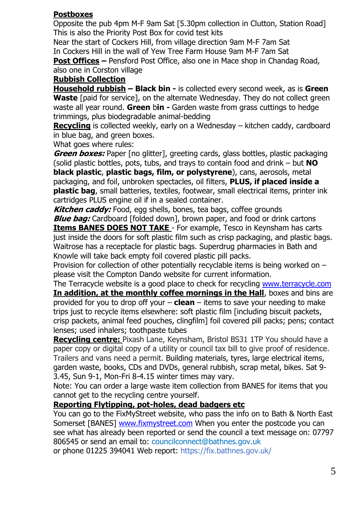#### **Postboxes**

Opposite the pub 4pm M-F 9am Sat [5.30pm collection in Clutton, Station Road] This is also the Priority Post Box for covid test kits

Near the start of Cockers Hill, from village direction 9am M-F 7am Sat In Cockers Hill in the wall of Yew Tree Farm House 9am M-F 7am Sat **Post Offices –** Pensford Post Office, also one in Mace shop in Chandag Road,

also one in Corston village

## **Rubbish Collection**

**Household rubbish – Black bin -** is collected every second week, as is **Green Waste** [paid for service], on the alternate Wednesday. They do not collect green waste all year round. **Green** b**in -** Garden waste from grass cuttings to hedge trimmings, plus biodegradable animal-bedding

**Recycling** is collected weekly, early on a Wednesday – kitchen caddy, cardboard in blue bag, and green boxes.

What goes where rules:

**Green boxes:** Paper [no glitter], greeting cards, glass bottles, plastic packaging (solid plastic bottles, pots, tubs, and trays to contain food and drink – but **NO black plastic**, **plastic bags, film, or polystyrene**), cans, aerosols, metal packaging, and foil, unbroken spectacles, oil filters, **PLUS, if placed inside a plastic bag**, small batteries, textiles, footwear, small electrical items, printer ink cartridges PLUS engine oil if in a sealed container.

**Kitchen caddy:** Food, egg shells, bones, tea bags, coffee grounds **Blue bag:** Cardboard [folded down], brown paper, and food or drink cartons **Items BANES DOES NOT TAKE** - For example, Tesco in Keynsham has carts just inside the doors for soft plastic film such as crisp packaging, and plastic bags. Waitrose has a receptacle for plastic bags. Superdrug pharmacies in Bath and Knowle will take back empty foil covered plastic pill packs.

Provision for collection of other potentially recyclable items is being worked on – please visit the Compton Dando website for current information.

The Terracycle website is a good place to check for recycling [www.terracycle.com](http://www.terracycle.com/) **In addition, at the monthly coffee mornings in the Hall**, boxes and bins are provided for you to drop off your – **clean** – items to save your needing to make trips just to recycle items elsewhere: soft plastic film [including biscuit packets, crisp packets, animal feed pouches, clingfilm] foil covered pill packs; pens; contact lenses; used inhalers; toothpaste tubes

**Recycling centre:** Pixash Lane, Keynsham, Bristol BS31 1TP You should have a paper copy or digital copy of a utility or council tax bill to give proof of residence. Trailers and vans need a permit. Building materials, tyres, large electrical items, garden waste, books, CDs and DVDs, general rubbish, scrap metal, bikes. Sat 9- 3.45, Sun 9-1, Mon-Fri 8-4.15 winter times may vary.

Note: You can order a large waste item collection from BANES for items that you cannot get to the recycling centre yourself.

## **Reporting Flytipping, pot-holes, dead badgers etc**

You can go to the FixMyStreet website, who pass the info on to Bath & North East Somerset [BANES] [www.fixmystreet.com](http://www.fixmystreet.com/) When you enter the postcode you can see what has already been reported or send the council a text message on: 07797 806545 or send an email to: [councilconnect@bathnes.gov.uk](mailto:councilconnect@bathnes.gov.uk)

or phone 01225 394041 Web report: https://fix.bathnes.gov.uk/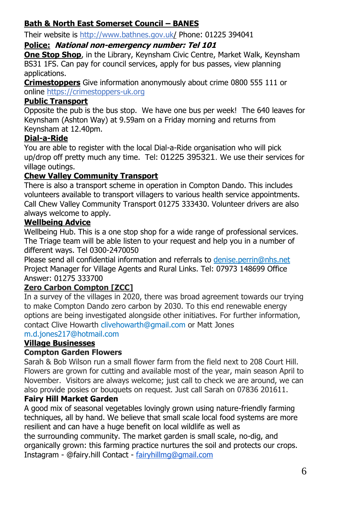# **Bath & North East Somerset Council – BANES**

Their website is <http://www.bathnes.gov.uk/> Phone: 01225 394041

## **Police: National non-emergency number: Tel 101**

**One Stop Shop**, in the Library, Keynsham Civic Centre, Market Walk, Keynsham BS31 1FS. Can pay for council services, apply for bus passes, view planning applications.

**Crimestoppers** Give information anonymously about crime 0800 555 111 or online [https://crimestoppers-uk.org](https://crimestoppers-uk.org/give-information/give-information-online/)

# **Public Transport**

Opposite the pub is the bus stop. We have one bus per week! The 640 leaves for Keynsham (Ashton Way) at 9.59am on a Friday morning and returns from Keynsham at 12.40pm.

# **Dial-a-Ride**

You are able to register with the local Dial-a-Ride organisation who will pick up/drop off pretty much any time. Tel: 01225 395321. We use their services for village outings.

# **Chew Valley Community Transport**

There is also a transport scheme in operation in Compton Dando. This includes volunteers available to transport villagers to various health service appointments. Call Chew Valley Community Transport 01275 333430. Volunteer drivers are also always welcome to apply.

# **Wellbeing Advice**

Wellbeing Hub. This is a one stop shop for a wide range of professional services. The Triage team will be able listen to your request and help you in a number of different ways. Tel 0300-2470050

Please send all confidential information and referrals to [denise.perrin@nhs.net](mailto:denise.perrin@nhs.net) Project Manager for Village Agents and Rural Links. Tel: 07973 148699 Office Answer: 01275 333700

## **Zero Carbon Compton [ZCC]**

In a survey of the villages in 2020, there was broad agreement towards our trying to make Compton Dando zero carbon by 2030. To this end renewable energy options are being investigated alongside other initiatives. For further information, contact Clive Howarth clivehowarth@gmail.com or Matt Jones m.d.jones217@hotmail.com

## **Village Businesses**

## **Compton Garden Flowers**

Sarah & Bob Wilson run a small flower farm from the field next to 208 Court Hill. Flowers are grown for cutting and available most of the year, main season April to November. Visitors are always welcome; just call to check we are around, we can also provide posies or bouquets on request. Just call Sarah on 07836 201611.

## **Fairy Hill Market Garden**

A good mix of seasonal vegetables lovingly grown using nature-friendly farming techniques, all by hand. We believe that small scale local food systems are more resilient and can have a huge benefit on local wildlife as well as the surrounding community. The market garden is small scale, no-dig, and organically grown: this farming practice nurtures the soil and protects our crops. Instagram - @fairy.hill Contact - [fairyhillmg@gmail.com](mailto:fairyhillmg@gmail.com)